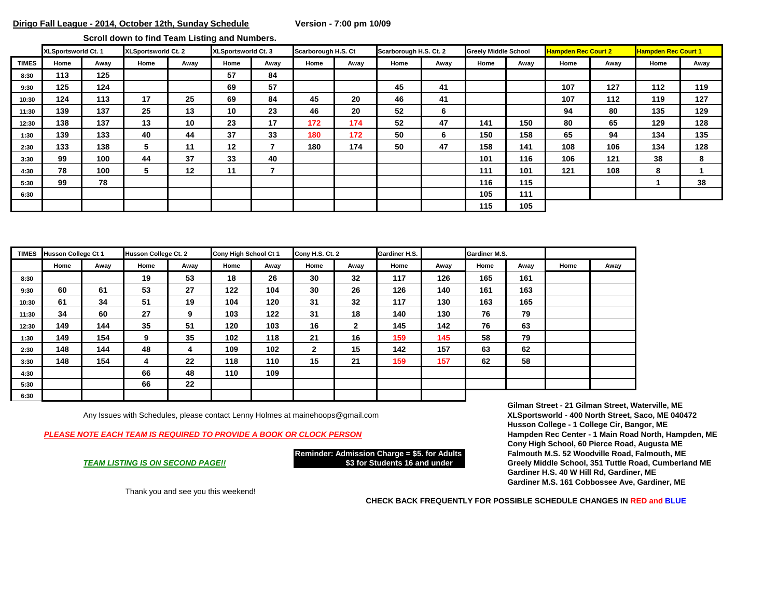**Scroll down to find Team Listing and Numbers.** 

|              | XLSportsworld Ct. 1 |      | XLSportsworld Ct. 2 |      | XLSportsworld Ct. 3 |      | Scarborough H.S. Ct |      | Scarborough H.S. Ct. 2 |      | <b>Greely Middle School</b> |      | <b>Hampden Rec Court 2</b> |      | <b>Hampden Rec Court 1</b> |      |
|--------------|---------------------|------|---------------------|------|---------------------|------|---------------------|------|------------------------|------|-----------------------------|------|----------------------------|------|----------------------------|------|
| <b>TIMES</b> | Home                | Away | Home                | Awav | Home                | Away | Home                | Away | Home                   | Away | Home                        | Away | Home                       | Away | Home                       | Away |
| 8:30         | 113                 | 125  |                     |      | 57                  | 84   |                     |      |                        |      |                             |      |                            |      |                            |      |
| 9:30         | 125                 | 124  |                     |      | 69                  | 57   |                     |      | 45                     | 41   |                             |      | 107                        | 127  | 112                        | 119  |
| 10:30        | 124                 | 113  | 17                  | 25   | 69                  | 84   | 45                  | 20   | 46                     | 41   |                             |      | 107                        | 112  | 119                        | 127  |
| 11:30        | 139                 | 137  | 25                  | 13   | 10                  | 23   | 46                  | 20   | 52                     | 6    |                             |      | 94                         | 80   | 135                        | 129  |
| 12:30        | 138                 | 137  | 13                  | 10   | 23                  | 17   | 172                 | 174  | 52                     | 47   | 141                         | 150  | 80                         | 65   | 129                        | 128  |
| 1:30         | 139                 | 133  | 40                  | 44   | 37                  | 33   | 180                 | 172  | 50                     | 6    | 150                         | 158  | 65                         | 94   | 134                        | 135  |
| 2:30         | 133                 | 138  | 5                   | 11   | 12                  | ⇁    | 180                 | 174  | 50                     | 47   | 158                         | 141  | 108                        | 106  | 134                        | 128  |
| 3:30         | 99                  | 100  | 44                  | 37   | 33                  | 40   |                     |      |                        |      | 101                         | 116  | 106                        | 121  | 38                         | 8    |
| 4:30         | 78                  | 100  | 5                   | 12   | 11                  | ⇁    |                     |      |                        |      | 111                         | 101  | 121                        | 108  | 8                          |      |
| 5:30         | 99                  | 78   |                     |      |                     |      |                     |      |                        |      | 116                         | 115  |                            |      |                            | 38   |
| 6:30         |                     |      |                     |      |                     |      |                     |      |                        |      | 105                         | 111  |                            |      |                            |      |
|              |                     |      |                     |      |                     |      |                     |      |                        |      | 115                         | 105  |                            |      |                            |      |

| <b>TIMES</b> | <b>Husson College Ct 1</b><br>Husson College Ct. 2 |      | Cony H.S. Ct. 2<br>Cony High School Ct 1 |      |      | Gardiner H.S. | Gardiner M.S. |              |      |      |      |      |      |      |
|--------------|----------------------------------------------------|------|------------------------------------------|------|------|---------------|---------------|--------------|------|------|------|------|------|------|
|              | Home                                               | Away | Home                                     | Away | Home | Away          | Home          | Away         | Home | Away | Home | Away | Home | Away |
| 8:30         |                                                    |      | 19                                       | 53   | 18   | 26            | 30            | 32           | 117  | 126  | 165  | 161  |      |      |
| 9:30         | 60                                                 | 61   | 53                                       | 27   | 122  | 104           | 30            | 26           | 126  | 140  | 161  | 163  |      |      |
| 10:30        | 61                                                 | 34   | 51                                       | 19   | 104  | 120           | 31            | 32           | 117  | 130  | 163  | 165  |      |      |
| 11:30        | 34                                                 | 60   | 27                                       | 9    | 103  | 122           | 31            | 18           | 140  | 130  | 76   | 79   |      |      |
| 12:30        | 149                                                | 144  | 35                                       | 51   | 120  | 103           | 16            | $\mathbf{2}$ | 145  | 142  | 76   | 63   |      |      |
| 1:30         | 149                                                | 154  | 9                                        | 35   | 102  | 118           | 21            | 16           | 159  | 145  | 58   | 79   |      |      |
| 2:30         | 148                                                | 144  | 48                                       | 4    | 109  | 102           | $\mathbf{2}$  | 15           | 142  | 157  | 63   | 62   |      |      |
| 3:30         | 148                                                | 154  | 4                                        | 22   | 118  | 110           | 15            | 21           | 159  | 157  | 62   | 58   |      |      |
| 4:30         |                                                    |      | 66                                       | 48   | 110  | 109           |               |              |      |      |      |      |      |      |
| 5:30         |                                                    |      | 66                                       | 22   |      |               |               |              |      |      |      |      |      |      |
| 6:30         |                                                    |      |                                          |      |      |               |               |              |      |      |      |      |      |      |

Any Issues with Schedules, please contact Lenny Holmes at mainehoops@gmail.com **XLSportsworld - 400 North Street, Saco, ME 040472**

*PLEASE NOTE EACH TEAM IS REQUIRED TO PROVIDE A BOOK OR CLOCK PERSON* **Hampden Rec Center - 1 Main Road North, Hampden, ME**

**Gilman Street - 21 Gilman Street, Waterville, ME Husson College - 1 College Cir, Bangor, ME Cony High School, 60 Pierce Road, Augusta ME Reminder: Admission Charge = \$5. for Adults Falmouth M.S. 52 Woodville Road, Falmouth, ME** *TEAM LISTING IS ON SECOND PAGE!!* **\$3 for Students 16 and under Greely Middle School, 351 Tuttle Road, Cumberland ME Gardiner H.S. 40 W Hill Rd, Gardiner, ME Gardiner M.S. 161 Cobbossee Ave, Gardiner, ME**

Thank you and see you this weekend!

**CHECK BACK FREQUENTLY FOR POSSIBLE SCHEDULE CHANGES IN RED and BLUE**